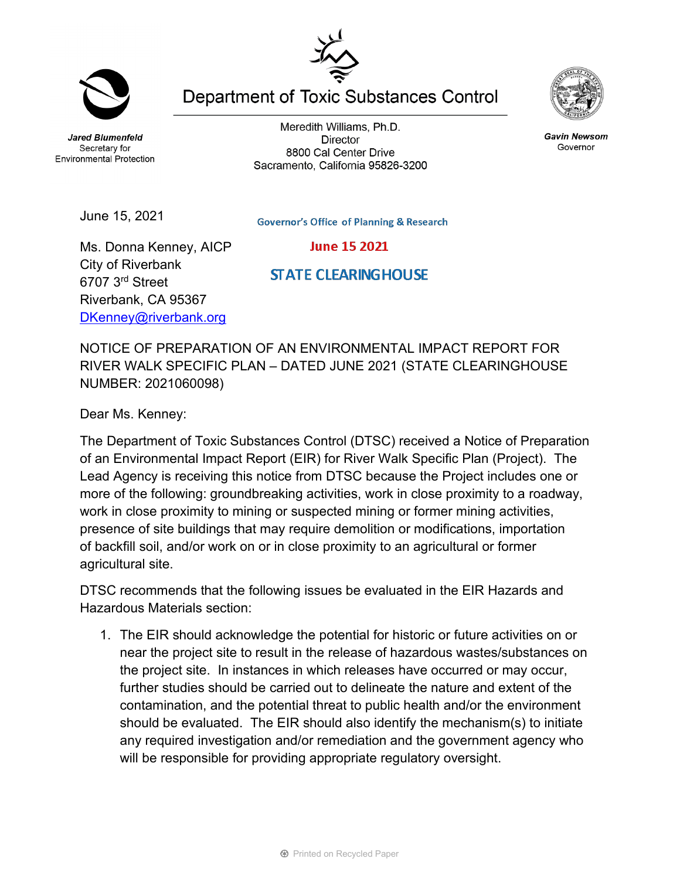**Jared Blumenfeld** Secretary for

June 15, 2021

Meredith Williams, Ph.D. **Director** 8800 Cal Center Drive Sacramento, California 95826-3200

**Department of Toxic Substances Control** 



**STATE CLEARING HOUSE** 

Ms. Donna Kenney, AICP City of Riverbank 6707 3rd Street Riverbank, CA 95367 [DKenney@riverbank.org](mailto:DKenney@riverbank.org)

NOTICE OF PREPARATION OF AN ENVIRONMENTAL IMPACT REPORT FOR RIVER WALK SPECIFIC PLAN – DATED JUNE 2021 (STATE CLEARINGHOUSE NUMBER: 2021060098)

Dear Ms. Kenney:

The Department of Toxic Substances Control (DTSC) received a Notice of Preparation of an Environmental Impact Report (EIR) for River Walk Specific Plan (Project). The Lead Agency is receiving this notice from DTSC because the Project includes one or more of the following: groundbreaking activities, work in close proximity to a roadway, work in close proximity to mining or suspected mining or former mining activities, presence of site buildings that may require demolition or modifications, importation of backfill soil, and/or work on or in close proximity to an agricultural or former agricultural site.

DTSC recommends that the following issues be evaluated in the EIR Hazards and Hazardous Materials section:

1. The EIR should acknowledge the potential for historic or future activities on or near the project site to result in the release of hazardous wastes/substances on the project site. In instances in which releases have occurred or may occur, further studies should be carried out to delineate the nature and extent of the contamination, and the potential threat to public health and/or the environment should be evaluated. The EIR should also identify the mechanism(s) to initiate any required investigation and/or remediation and the government agency who will be responsible for providing appropriate regulatory oversight.



**Gavin Newsom** Governor



**Environmental Protection**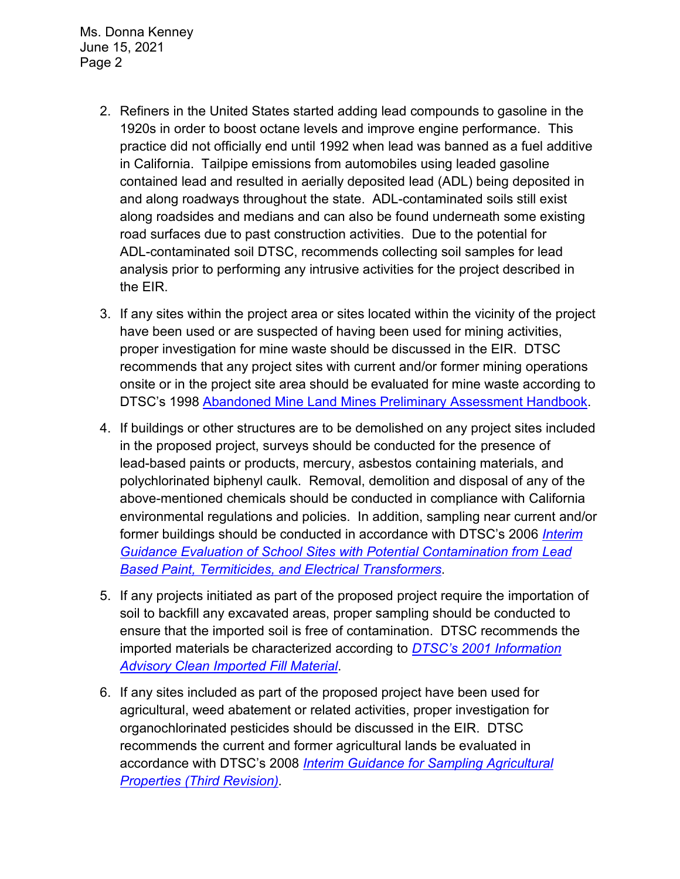Ms. Donna Kenney June 15, 2021 Page 2

- 2. Refiners in the United States started adding lead compounds to gasoline in the 1920s in order to boost octane levels and improve engine performance. This practice did not officially end until 1992 when lead was banned as a fuel additive in California. Tailpipe emissions from automobiles using leaded gasoline contained lead and resulted in aerially deposited lead (ADL) being deposited in and along roadways throughout the state. ADL-contaminated soils still exist along roadsides and medians and can also be found underneath some existing road surfaces due to past construction activities. Due to the potential for ADL-contaminated soil DTSC, recommends collecting soil samples for lead analysis prior to performing any intrusive activities for the project described in the EIR.
- 3. If any sites within the project area or sites located within the vicinity of the project have been used or are suspected of having been used for mining activities, proper investigation for mine waste should be discussed in the EIR. DTSC recommends that any project sites with current and/or former mining operations onsite or in the project site area should be evaluated for mine waste according to DTSC's 1998 [Abandoned Mine Land Mines Preliminary Assessment Handbook.](https://dtsc.ca.gov/2020/04/17/document-request/?wpf337186_14=https://dtsc.ca.gov/wp-content/uploads/sites/31/2018/11/aml_handbook.pdf)
- 4. If buildings or other structures are to be demolished on any project sites included in the proposed project, surveys should be conducted for the presence of lead-based paints or products, mercury, asbestos containing materials, and polychlorinated biphenyl caulk. Removal, demolition and disposal of any of the above-mentioned chemicals should be conducted in compliance with California environmental regulations and policies. In addition, sampling near current and/or former buildings should be conducted in accordance with DTSC's 2006 *[Interim](https://dtsc.ca.gov/2020/04/17/document-request/?wpf337186_14=https://dtsc.ca.gov/wpcontent/uploads/sites/31/2018/09/Guidance_Lead_%20%20Contamination_050118.pdf)  [Guidance Evaluation of School Sites with Potential Contamination from Lead](https://dtsc.ca.gov/2020/04/17/document-request/?wpf337186_14=https://dtsc.ca.gov/wpcontent/uploads/sites/31/2018/09/Guidance_Lead_%20%20Contamination_050118.pdf)  [Based Paint, Termiticides, and Electrical Transformers](https://dtsc.ca.gov/2020/04/17/document-request/?wpf337186_14=https://dtsc.ca.gov/wpcontent/uploads/sites/31/2018/09/Guidance_Lead_%20%20Contamination_050118.pdf)*.
- 5. If any projects initiated as part of the proposed project require the importation of soil to backfill any excavated areas, proper sampling should be conducted to ensure that the imported soil is free of contamination. DTSC recommends the imported materials be characterized according to *[DTSC's 2001 Information](https://dtsc.ca.gov/wp-content/uploads/sites/31/2018/09/SMP_FS_Cleanfill-Schools.pdf)  [Advisory Clean Imported Fill Material](https://dtsc.ca.gov/wp-content/uploads/sites/31/2018/09/SMP_FS_Cleanfill-Schools.pdf)*.
- 6. If any sites included as part of the proposed project have been used for agricultural, weed abatement or related activities, proper investigation for organochlorinated pesticides should be discussed in the EIR. DTSC recommends the current and former agricultural lands be evaluated in accordance with DTSC's 2008 *[Interim Guidance for Sampling Agricultural](https://dtsc.ca.gov/wp-content/uploads/sites/31/2018/09/Ag-Guidance-Rev-3-August-7-2008-2.pdf)  [Properties \(Third Revision\).](https://dtsc.ca.gov/wp-content/uploads/sites/31/2018/09/Ag-Guidance-Rev-3-August-7-2008-2.pdf)*